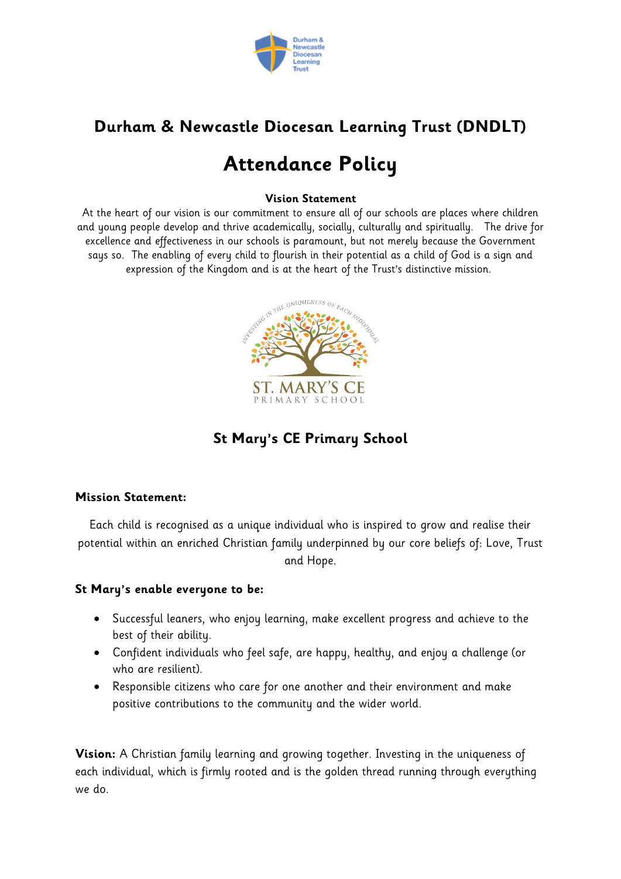

# **Durham & Newcastle Diocesan Learning Trust (DNDLT)**

# **Attendance Policy**

#### **Vision Statement**

At the heart of our vision is our commitment to ensure all of our schools are places where children and young people develop and thrive academically, socially, culturally and spiritually. The drive for excellence and effectiveness in our schools is paramount, but not merely because the Government says so. The enabling of every child to flourish in their potential as a child of God is a sign and expression of the Kingdom and is at the heart of the Trust's distinctive mission.



**St Mary's CE Primary School**

#### **Mission Statement:**

Each child is recognised as a unique individual who is inspired to grow and realise their potential within an enriched Christian family underpinned by our core beliefs of: Love, Trust and Hope.

#### **St Mary's enable everyone to be:**

- Successful leaners, who enjoy learning, make excellent progress and achieve to the best of their ability.
- Confident individuals who feel safe, are happy, healthy, and enjoy a challenge (or who are resilient).
- Responsible citizens who care for one another and their environment and make positive contributions to the community and the wider world.

**Vision:** A Christian family learning and growing together. Investing in the uniqueness of each individual, which is firmly rooted and is the golden thread running through everything we do.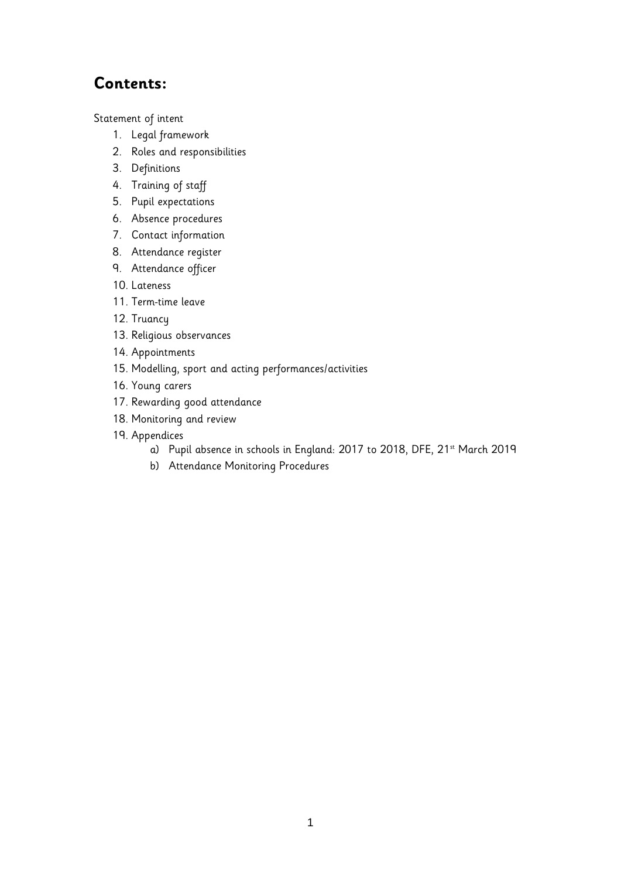# **Contents:**

[Statement of intent](#page-2-0)

- 1. [Legal framework](#page-3-0)
- 2. [Roles and responsibilities](#page-3-1)
- 3. [Definitions](#page-4-0)
- 4. [Training of staff](#page-5-0)
- 5. [Pupil expectations](#page-5-1)
- 6. [Absence procedures](#page-5-2)
- 7. [Contact information](#page-6-0)
- 8. [Attendance register](#page-6-1)
- 9. [Attendance officer](#page-7-0)
- 10. [Lateness](#page-7-0)
- 11. Term-time leave
- 12. [Truancy](#page-8-0)
- 13. [Religious observances](#page-8-1)
- 14. [Appointments](#page-9-0)
- 15. [Modelling, sport and acting performances/activities](#page-9-1)
- 16. [Young carers](#page-11-0)
- 17. [Rewarding good attendance](#page-11-1)
- 18. [Monitoring and review](#page-11-2)
- 19. [Appendices](#page-14-0)
	- a) [Pupil absence in schools in England: 2017 to 2018, DFE, 21](#page-14-0)<sup>st</sup> March 2019
	- b) [Attendance Monitoring Procedures](#page-14-0)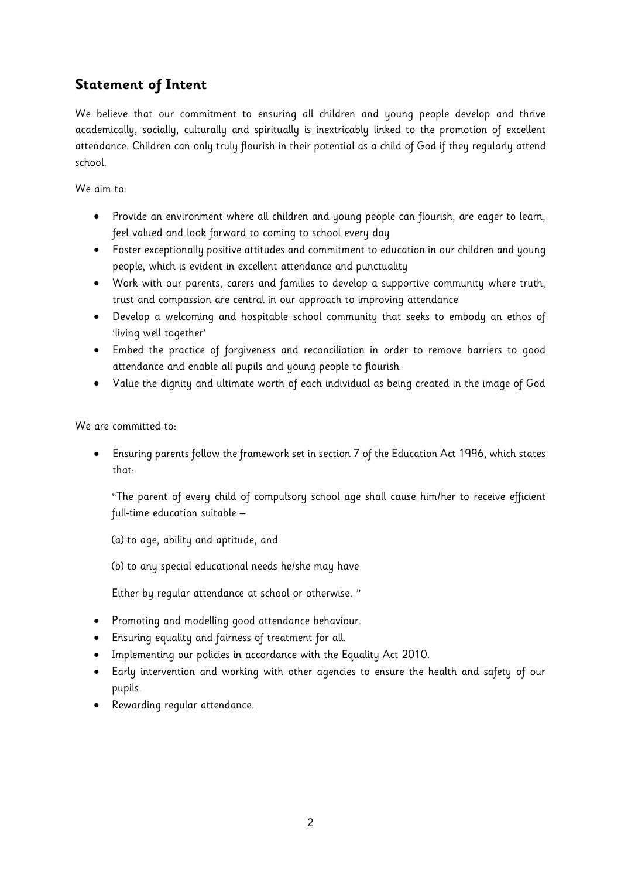# <span id="page-2-0"></span>**Statement of Intent**

We believe that our commitment to ensuring all children and young people develop and thrive academically, socially, culturally and spiritually is inextricably linked to the promotion of excellent attendance. Children can only truly flourish in their potential as a child of God if they regularly attend school.

We aim to:

- Provide an environment where all children and young people can flourish, are eager to learn, feel valued and look forward to coming to school every day
- Foster exceptionally positive attitudes and commitment to education in our children and young people, which is evident in excellent attendance and punctuality
- Work with our parents, carers and families to develop a supportive community where truth, trust and compassion are central in our approach to improving attendance
- Develop a welcoming and hospitable school community that seeks to embody an ethos of 'living well together'
- Embed the practice of forgiveness and reconciliation in order to remove barriers to good attendance and enable all pupils and young people to flourish
- Value the dignity and ultimate worth of each individual as being created in the image of God

We are committed to:

• Ensuring parents follow the framework set in section 7 of the Education Act 1996, which states that:

"The parent of every child of compulsory school age shall cause him/her to receive efficient full-time education suitable –

(a) to age, ability and aptitude, and

(b) to any special educational needs he/she may have

Either by regular attendance at school or otherwise. "

- Promoting and modelling good attendance behaviour.
- Ensuring equality and fairness of treatment for all.
- Implementing our policies in accordance with the Equality Act 2010.
- Early intervention and working with other agencies to ensure the health and safety of our pupils.
- Rewarding regular attendance.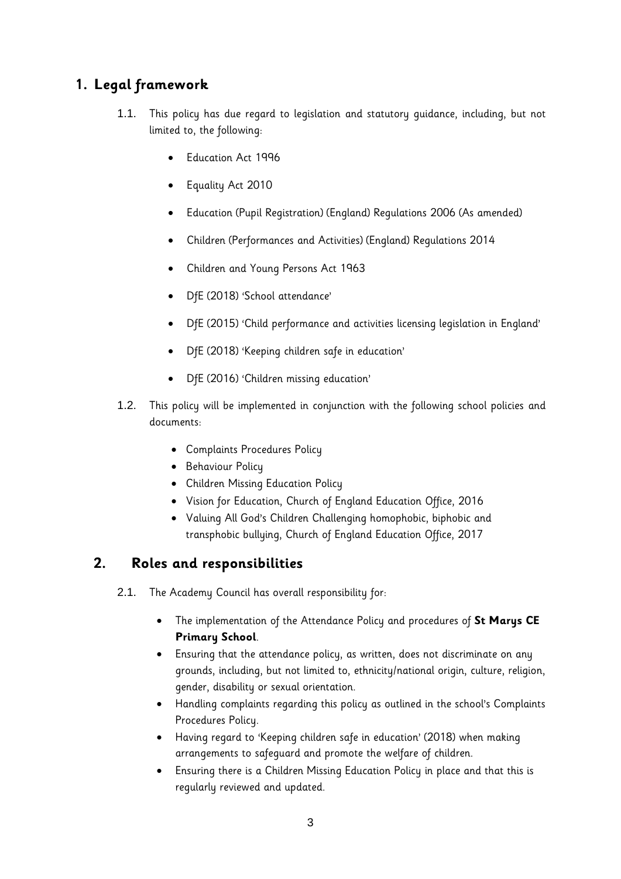# <span id="page-3-0"></span>**1. Legal framework**

- 1.1. This policy has due regard to legislation and statutory guidance, including, but not limited to, the following:
	- Education Act 1996
	- Equality Act 2010
	- Education (Pupil Registration) (England) Regulations 2006 (As amended)
	- Children (Performances and Activities) (England) Regulations 2014
	- Children and Young Persons Act 1963
	- DfE (2018) 'School attendance'
	- DfE (2015) 'Child performance and activities licensing legislation in England'
	- DfE (2018) 'Keeping children safe in education'
	- DfE (2016) 'Children missing education'
- 1.2. This policy will be implemented in conjunction with the following school policies and documents:
	- Complaints Procedures Policy
	- Behaviour Policy
	- Children Missing Education Policy
	- Vision for Education, Church of England Education Office, 2016
	- Valuing All God's Children Challenging homophobic, biphobic and transphobic bullying, Church of England Education Office, 2017

#### <span id="page-3-1"></span>**2. Roles and responsibilities**

2.1. The Academy Council has overall responsibility for:

- The implementation of the Attendance Policy and procedures of **St Marys CE Primary School**.
- Ensuring that the attendance policy, as written, does not discriminate on any grounds, including, but not limited to, ethnicity/national origin, culture, religion, gender, disability or sexual orientation.
- Handling complaints regarding this policy as outlined in the school's Complaints Procedures Policy.
- Having regard to 'Keeping children safe in education' (2018) when making arrangements to safeguard and promote the welfare of children.
- Ensuring there is a Children Missing Education Policy in place and that this is regularly reviewed and updated.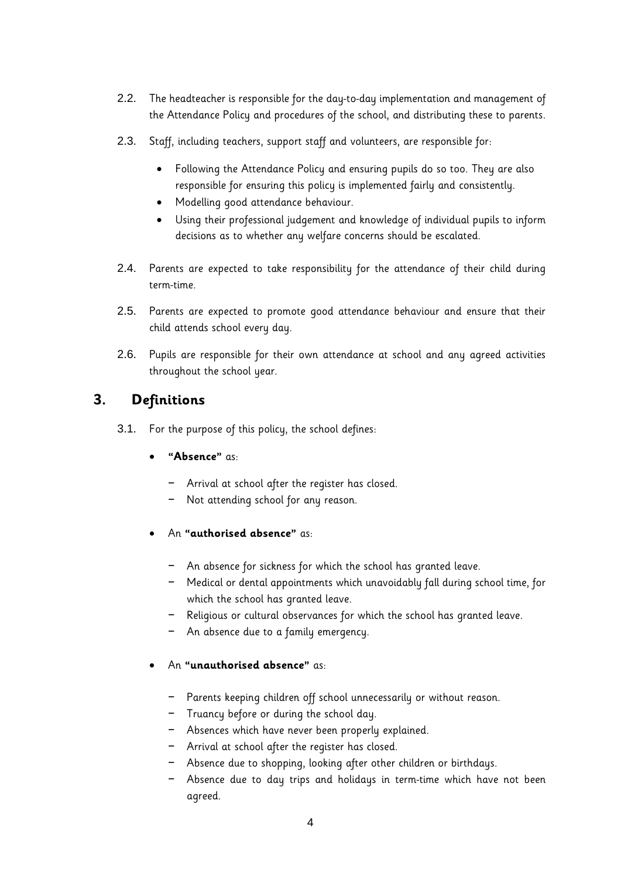- 2.2. The headteacher is responsible for the day-to-day implementation and management of the Attendance Policy and procedures of the school, and distributing these to parents.
- 2.3. Staff, including teachers, support staff and volunteers, are responsible for:
	- Following the Attendance Policy and ensuring pupils do so too. They are also responsible for ensuring this policy is implemented fairly and consistently.
	- Modelling good attendance behaviour.
	- Using their professional judgement and knowledge of individual pupils to inform decisions as to whether any welfare concerns should be escalated.
- 2.4. Parents are expected to take responsibility for the attendance of their child during term-time.
- 2.5. Parents are expected to promote good attendance behaviour and ensure that their child attends school every day.
- 2.6. Pupils are responsible for their own attendance at school and any agreed activities throughout the school year.

# <span id="page-4-0"></span>**3. Definitions**

- 3.1. For the purpose of this policy, the school defines:
	- **"Absence"** as:
		- − Arrival at school after the register has closed.
		- − Not attending school for any reason.
	- An **"authorised absence"** as:
		- − An absence for sickness for which the school has granted leave.
		- − Medical or dental appointments which unavoidably fall during school time, for which the school has granted leave.
		- − Religious or cultural observances for which the school has granted leave.
		- − An absence due to a family emergency.
	- An **"unauthorised absence"** as:
		- − Parents keeping children off school unnecessarily or without reason.
		- − Truancy before or during the school day.
		- − Absences which have never been properly explained.
		- − Arrival at school after the register has closed.
		- − Absence due to shopping, looking after other children or birthdays.
		- − Absence due to day trips and holidays in term-time which have not been agreed.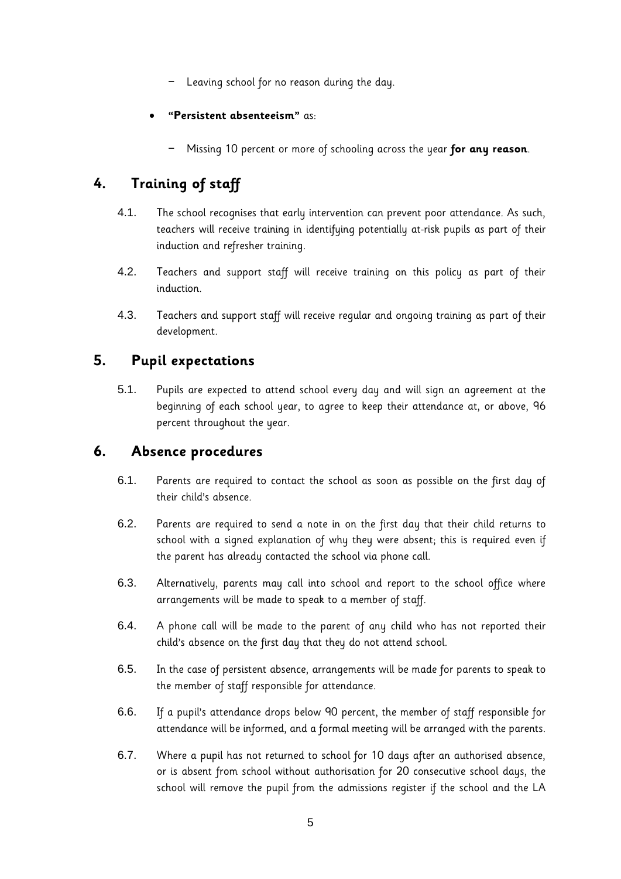- − Leaving school for no reason during the day.
- **"Persistent absenteeism"** as:
	- − Missing 10 percent or more of schooling across the year **for any reason**.

# <span id="page-5-0"></span>**4. Training of staff**

- 4.1. The school recognises that early intervention can prevent poor attendance. As such, teachers will receive training in identifying potentially at-risk pupils as part of their induction and refresher training.
- 4.2. Teachers and support staff will receive training on this policy as part of their induction.
- 4.3. Teachers and support staff will receive regular and ongoing training as part of their development.

## <span id="page-5-1"></span>**5. Pupil expectations**

5.1. Pupils are expected to attend school every day and will sign an agreement at the beginning of each school year, to agree to keep their attendance at, or above, 96 percent throughout the year.

## <span id="page-5-2"></span>**6. Absence procedures**

- 6.1. Parents are required to contact the school as soon as possible on the first day of their child's absence.
- 6.2. Parents are required to send a note in on the first day that their child returns to school with a signed explanation of why they were absent; this is required even if the parent has already contacted the school via phone call.
- 6.3. Alternatively, parents may call into school and report to the school office where arrangements will be made to speak to a member of staff.
- 6.4. A phone call will be made to the parent of any child who has not reported their child's absence on the first day that they do not attend school.
- 6.5. In the case of persistent absence, arrangements will be made for parents to speak to the member of staff responsible for attendance.
- 6.6. If a pupil's attendance drops below 90 percent, the member of staff responsible for attendance will be informed, and a formal meeting will be arranged with the parents.
- 6.7. Where a pupil has not returned to school for 10 days after an authorised absence, or is absent from school without authorisation for 20 consecutive school days, the school will remove the pupil from the admissions register if the school and the LA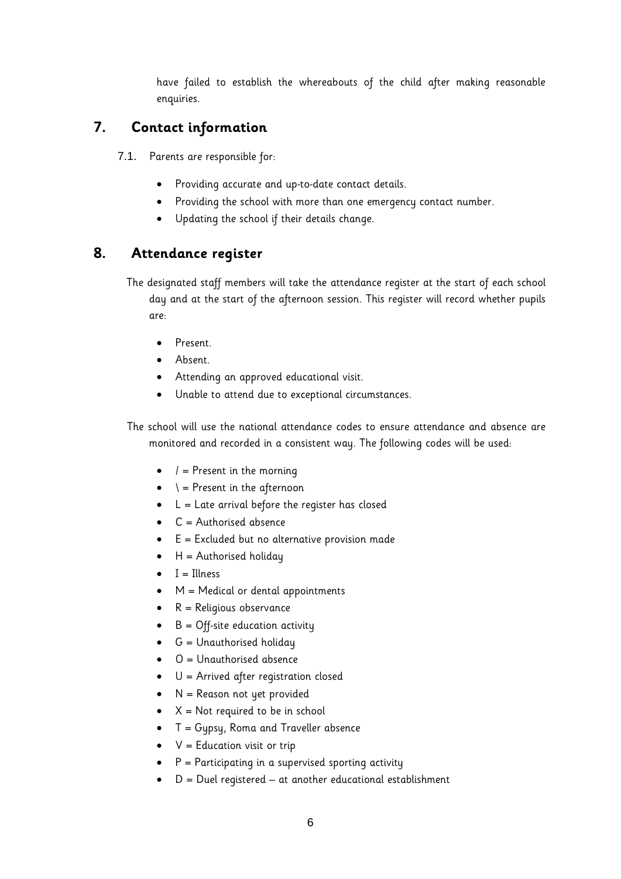have failed to establish the whereabouts of the child after making reasonable enquiries.

## <span id="page-6-0"></span>**7. Contact information**

7.1. Parents are responsible for:

- Providing accurate and up-to-date contact details.
- Providing the school with more than one emergency contact number.
- Updating the school if their details change.

## <span id="page-6-1"></span>**8. Attendance register**

The designated staff members will take the attendance register at the start of each school day and at the start of the afternoon session. This register will record whether pupils are:

- Present.
- Absent.
- Attending an approved educational visit.
- Unable to attend due to exceptional circumstances.

The school will use the national attendance codes to ensure attendance and absence are monitored and recorded in a consistent way. The following codes will be used:

- $\bullet$  / = Present in the morning
- $\bullet \quad \dagger$  = Present in the afternoon
- $\bullet$  L = Late arrival before the register has closed
- $\bullet$  C = Authorised absence
- E = Excluded but no alternative provision made
- $\bullet$  H = Authorised holiday
- $\bullet$  I = Illness
- M = Medical or dental appointments
- R = Religious observance
- $\bullet$  B = Off-site education activity
- $\bullet$  G = Unauthorised holiday
- O = Unauthorised absence
- U = Arrived after registration closed
- N = Reason not yet provided
- $X = Not required to be in school$
- $\bullet$  T = Gypsy, Roma and Traveller absence
- $\bullet$   $V =$  Education visit or trip
- $\bullet$  P = Participating in a supervised sporting activity
- D = Duel registered at another educational establishment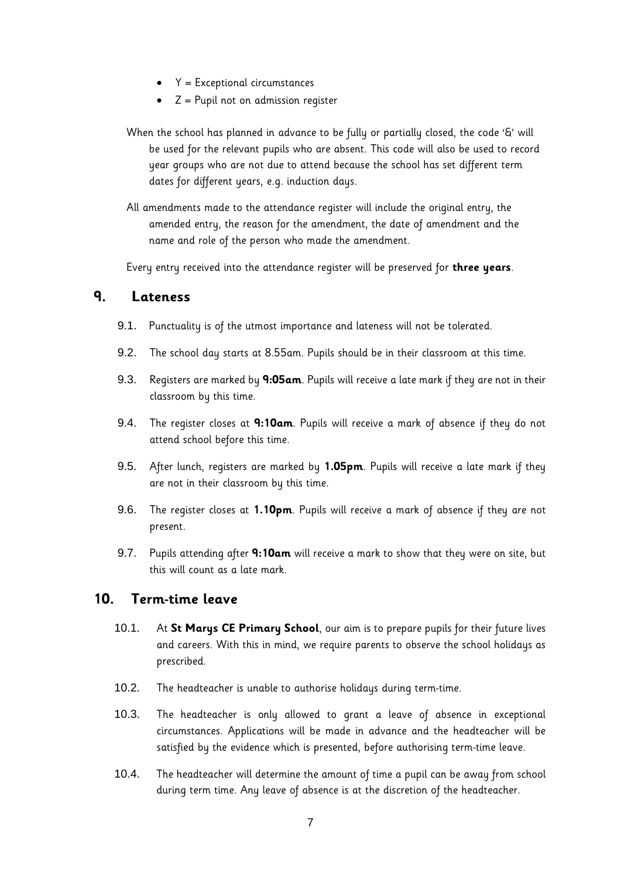- $\bullet$   $Y = Exceptional circumstances$
- $\bullet$   $Z =$  Pupil not on admission register

When the school has planned in advance to be fully or partially closed, the code '&' will be used for the relevant pupils who are absent. This code will also be used to record year groups who are not due to attend because the school has set different term dates for different years, e.g. induction days.

All amendments made to the attendance register will include the original entry, the amended entry, the reason for the amendment, the date of amendment and the name and role of the person who made the amendment.

Every entry received into the attendance register will be preserved for **three years**.

#### <span id="page-7-0"></span>**9. Lateness**

- 9.1. Punctuality is of the utmost importance and lateness will not be tolerated.
- 9.2. The school day starts at 8.55am. Pupils should be in their classroom at this time.
- 9.3. Registers are marked by **9:05am**. Pupils will receive a late mark if they are not in their classroom by this time.
- 9.4. The register closes at **9:10am**. Pupils will receive a mark of absence if they do not attend school before this time.
- 9.5. After lunch, registers are marked by **1.05pm**. Pupils will receive a late mark if they are not in their classroom by this time.
- 9.6. The register closes at **1.10pm**. Pupils will receive a mark of absence if they are not present.
- 9.7. Pupils attending after **9:10am** will receive a mark to show that they were on site, but this will count as a late mark.

#### **10. Term-time leave**

- 10.1. At **St Marys CE Primary School**, our aim is to prepare pupils for their future lives and careers. With this in mind, we require parents to observe the school holidays as prescribed.
- 10.2. The headteacher is unable to authorise holidays during term-time.
- 10.3. The headteacher is only allowed to grant a leave of absence in exceptional circumstances. Applications will be made in advance and the headteacher will be satisfied by the evidence which is presented, before authorising term-time leave.
- 10.4. The headteacher will determine the amount of time a pupil can be away from school during term time. Any leave of absence is at the discretion of the headteacher.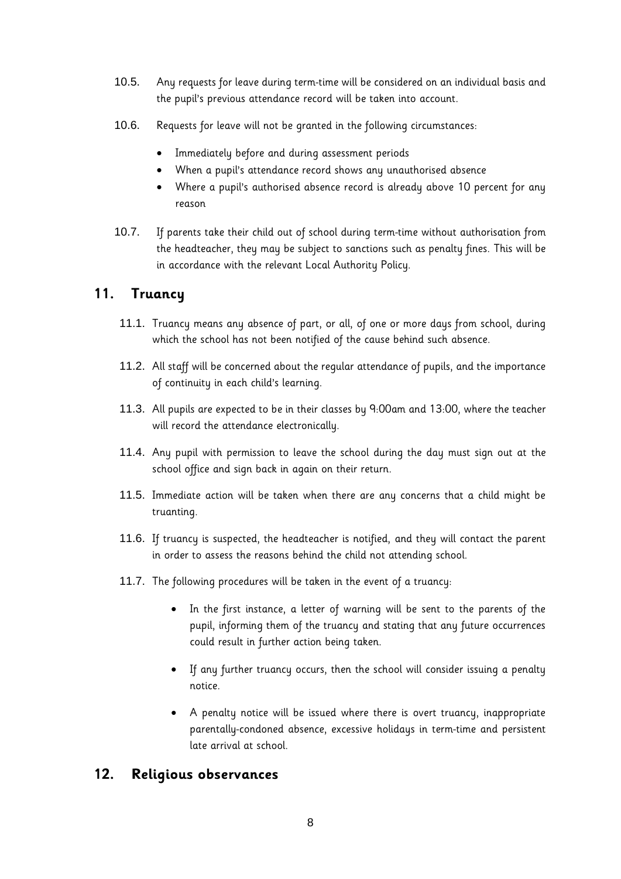- 10.5. Any requests for leave during term-time will be considered on an individual basis and the pupil's previous attendance record will be taken into account.
- 10.6. Requests for leave will not be granted in the following circumstances:
	- Immediately before and during assessment periods
	- When a pupil's attendance record shows any unauthorised absence
	- Where a pupil's authorised absence record is already above 10 percent for any reason
- 10.7. If parents take their child out of school during term-time without authorisation from the headteacher, they may be subject to sanctions such as penalty fines. This will be in accordance with the relevant Local Authority Policy.

### <span id="page-8-0"></span>**11. Truancy**

- 11.1. Truancy means any absence of part, or all, of one or more days from school, during which the school has not been notified of the cause behind such absence.
- 11.2. All staff will be concerned about the regular attendance of pupils, and the importance of continuity in each child's learning.
- 11.3. All pupils are expected to be in their classes by 9:00am and 13:00, where the teacher will record the attendance electronically.
- 11.4. Any pupil with permission to leave the school during the day must sign out at the school office and sign back in again on their return.
- 11.5. Immediate action will be taken when there are any concerns that a child might be truanting.
- 11.6. If truancy is suspected, the headteacher is notified, and they will contact the parent in order to assess the reasons behind the child not attending school.
- 11.7. The following procedures will be taken in the event of a truancy:
	- In the first instance, a letter of warning will be sent to the parents of the pupil, informing them of the truancy and stating that any future occurrences could result in further action being taken.
	- If any further truancy occurs, then the school will consider issuing a penalty notice.
	- A penalty notice will be issued where there is overt truancy, inappropriate parentally-condoned absence, excessive holidays in term-time and persistent late arrival at school.

#### <span id="page-8-1"></span>**12. Religious observances**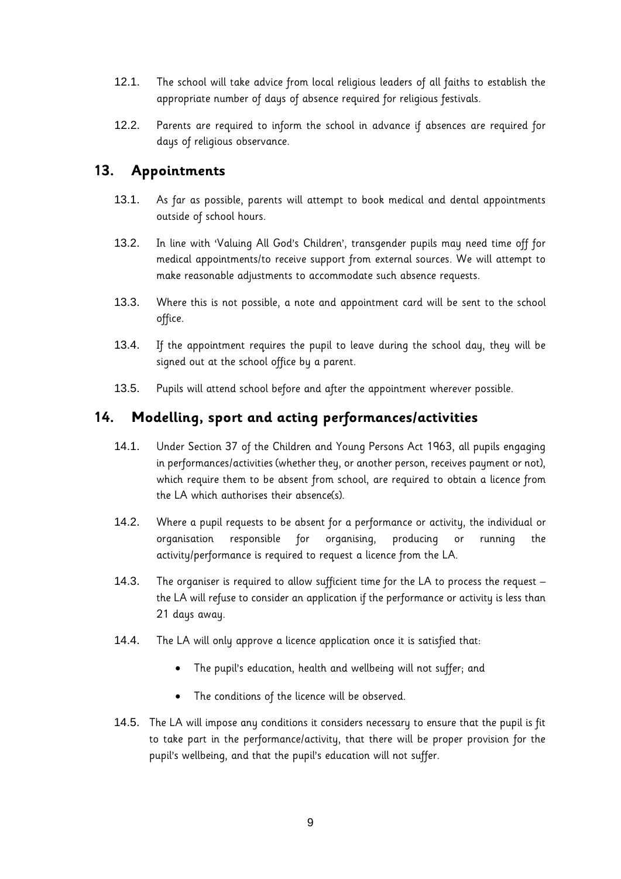- 12.1. The school will take advice from local religious leaders of all faiths to establish the appropriate number of days of absence required for religious festivals.
- 12.2. Parents are required to inform the school in advance if absences are required for days of religious observance.

### <span id="page-9-0"></span>**13. Appointments**

- 13.1. As far as possible, parents will attempt to book medical and dental appointments outside of school hours.
- 13.2. In line with 'Valuing All God's Children', transgender pupils may need time off for medical appointments/to receive support from external sources. We will attempt to make reasonable adjustments to accommodate such absence requests.
- 13.3. Where this is not possible, a note and appointment card will be sent to the school office.
- 13.4. If the appointment requires the pupil to leave during the school day, they will be signed out at the school office by a parent.
- 13.5. Pupils will attend school before and after the appointment wherever possible.

#### <span id="page-9-1"></span>**14. Modelling, sport and acting performances/activities**

- 14.1. Under Section 37 of the Children and Young Persons Act 1963, all pupils engaging in performances/activities (whether they, or another person, receives payment or not), which require them to be absent from school, are required to obtain a licence from the LA which authorises their absence(s).
- 14.2. Where a pupil requests to be absent for a performance or activity, the individual or organisation responsible for organising, producing or running the activity/performance is required to request a licence from the LA.
- 14.3. The organiser is required to allow sufficient time for the LA to process the request the LA will refuse to consider an application if the performance or activity is less than 21 days away.
- 14.4. The LA will only approve a licence application once it is satisfied that:
	- The pupil's education, health and wellbeing will not suffer; and
	- The conditions of the licence will be observed.
- 14.5. The LA will impose any conditions it considers necessary to ensure that the pupil is fit to take part in the performance/activity, that there will be proper provision for the pupil's wellbeing, and that the pupil's education will not suffer.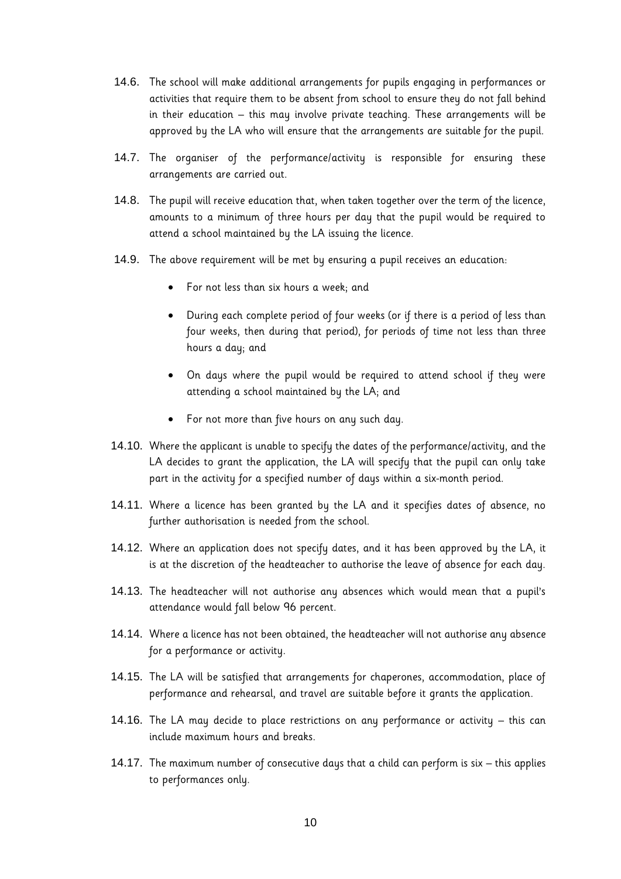- 14.6. The school will make additional arrangements for pupils engaging in performances or activities that require them to be absent from school to ensure they do not fall behind in their education – this may involve private teaching. These arrangements will be approved by the LA who will ensure that the arrangements are suitable for the pupil.
- 14.7. The organiser of the performance/activity is responsible for ensuring these arrangements are carried out.
- 14.8. The pupil will receive education that, when taken together over the term of the licence, amounts to a minimum of three hours per day that the pupil would be required to attend a school maintained by the LA issuing the licence.
- 14.9. The above requirement will be met by ensuring a pupil receives an education:
	- For not less than six hours a week; and
	- During each complete period of four weeks (or if there is a period of less than four weeks, then during that period), for periods of time not less than three hours a day; and
	- On days where the pupil would be required to attend school if they were attending a school maintained by the LA; and
	- For not more than five hours on any such day.
- 14.10. Where the applicant is unable to specify the dates of the performance/activity, and the LA decides to grant the application, the LA will specify that the pupil can only take part in the activity for a specified number of days within a six-month period.
- 14.11. Where a licence has been granted by the LA and it specifies dates of absence, no further authorisation is needed from the school.
- 14.12. Where an application does not specify dates, and it has been approved by the LA, it is at the discretion of the headteacher to authorise the leave of absence for each day.
- 14.13. The headteacher will not authorise any absences which would mean that a pupil's attendance would fall below 96 percent.
- 14.14. Where a licence has not been obtained, the headteacher will not authorise any absence for a performance or activity.
- 14.15. The LA will be satisfied that arrangements for chaperones, accommodation, place of performance and rehearsal, and travel are suitable before it grants the application.
- 14.16. The LA may decide to place restrictions on any performance or activity this can include maximum hours and breaks.
- 14.17. The maximum number of consecutive days that a child can perform is six this applies to performances only.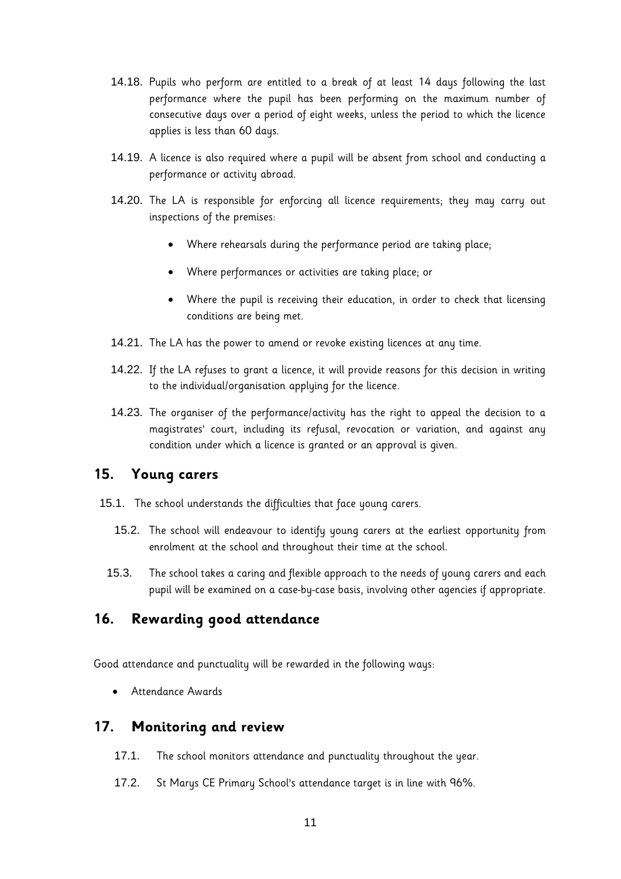- 14.18. Pupils who perform are entitled to a break of at least 14 days following the last performance where the pupil has been performing on the maximum number of consecutive days over a period of eight weeks, unless the period to which the licence applies is less than 60 days.
- 14.19. A licence is also required where a pupil will be absent from school and conducting a performance or activity abroad.
- 14.20. The LA is responsible for enforcing all licence requirements; they may carry out inspections of the premises:
	- Where rehearsals during the performance period are taking place;
	- Where performances or activities are taking place; or
	- Where the pupil is receiving their education, in order to check that licensing conditions are being met.
- 14.21. The LA has the power to amend or revoke existing licences at any time.
- 14.22. If the LA refuses to grant a licence, it will provide reasons for this decision in writing to the individual/organisation applying for the licence.
- 14.23. The organiser of the performance/activity has the right to appeal the decision to a magistrates' court, including its refusal, revocation or variation, and against any condition under which a licence is granted or an approval is given.

#### <span id="page-11-0"></span>**15. Young carers**

- 15.1. The school understands the difficulties that face young carers.
	- 15.2. The school will endeavour to identify young carers at the earliest opportunity from enrolment at the school and throughout their time at the school.
	- 15.3. The school takes a caring and flexible approach to the needs of young carers and each pupil will be examined on a case-by-case basis, involving other agencies if appropriate.

#### <span id="page-11-1"></span>**16. Rewarding good attendance**

Good attendance and punctuality will be rewarded in the following ways:

• Attendance Awards

#### <span id="page-11-2"></span>**17. Monitoring and review**

- 17.1. The school monitors attendance and punctuality throughout the year.
- 17.2. St Marys CE Primary School's attendance target is in line with 96%.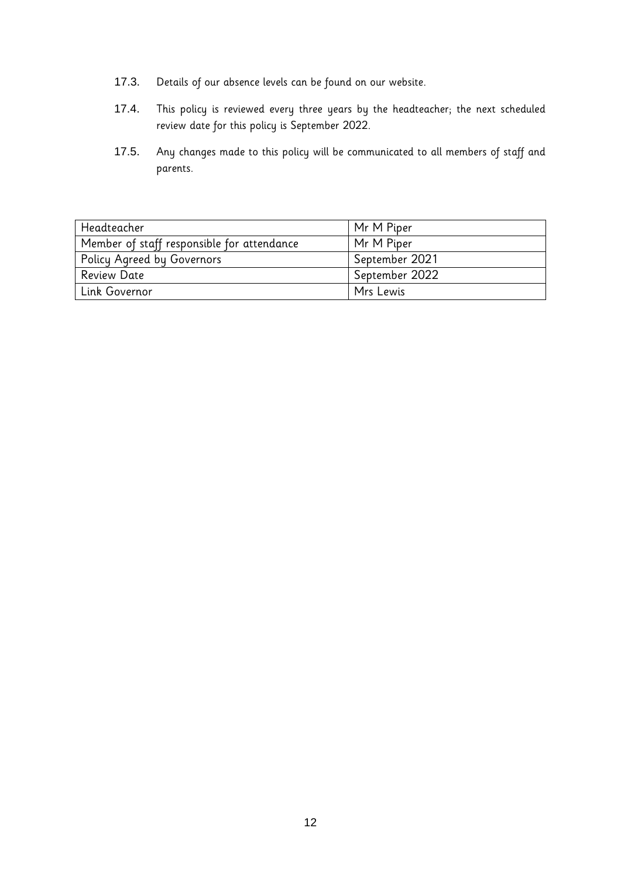- 17.3. Details of our absence levels can be found on our website.
- 17.4. This policy is reviewed every three years by the headteacher; the next scheduled review date for this policy is September 2022.
- 17.5. Any changes made to this policy will be communicated to all members of staff and parents.

| Headteacher                                | Mr M Piper     |
|--------------------------------------------|----------------|
| Member of staff responsible for attendance | Mr M Piper     |
| Policy Agreed by Governors                 | September 2021 |
| <b>Review Date</b>                         | September 2022 |
| Link Governor                              | Mrs Lewis      |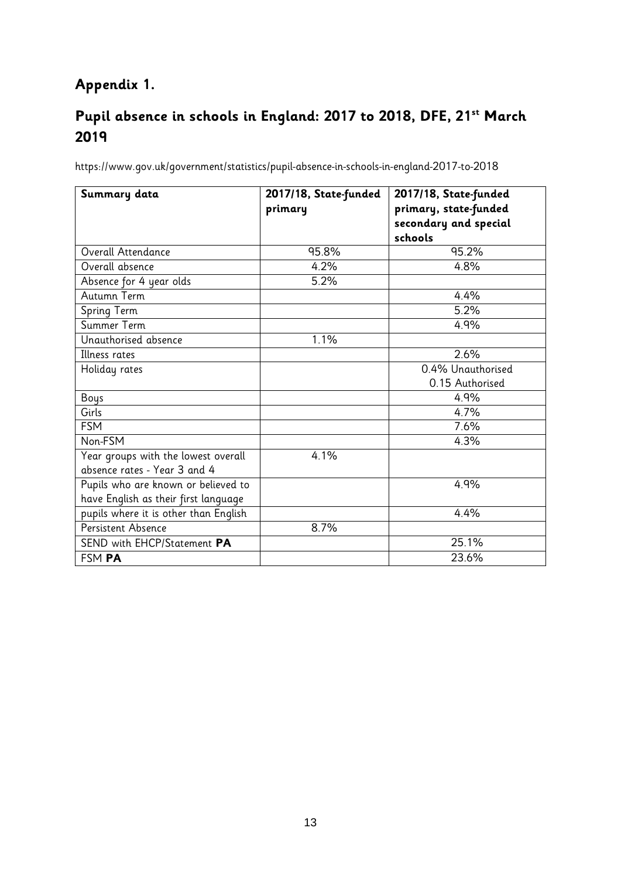# **Appendix 1.**

# **Pupil absence in schools in England: 2017 to 2018, DFE, 21st March 2019**

<https://www.gov.uk/government/statistics/pupil-absence-in-schools-in-england-2017-to-2018>

| Summary data                          | 2017/18, State-funded | 2017/18, State-funded                          |
|---------------------------------------|-----------------------|------------------------------------------------|
|                                       | primary               | primary, state-funded<br>secondary and special |
|                                       |                       | schools                                        |
| Overall Attendance                    | 95.8%                 | 95.2%                                          |
| Overall absence                       | 4.2%                  | 4.8%                                           |
| Absence for 4 year olds               | 5.2%                  |                                                |
| Autumn Term                           |                       | 4.4%                                           |
| Spring Term                           |                       | 5.2%                                           |
| Summer Term                           |                       | 4.9%                                           |
| Unauthorised absence                  | 1.1%                  |                                                |
| Illness rates                         |                       | 2.6%                                           |
| Holiday rates                         |                       | 0.4% Unauthorised                              |
|                                       |                       | 0.15 Authorised                                |
| Boys                                  |                       | 4.9%                                           |
| Girls                                 |                       | 4.7%                                           |
| <b>FSM</b>                            |                       | 7.6%                                           |
| Non-FSM                               |                       | 4.3%                                           |
| Year groups with the lowest overall   | 4.1%                  |                                                |
| absence rates - Year 3 and 4          |                       |                                                |
| Pupils who are known or believed to   |                       | 4.9%                                           |
| have English as their first language  |                       |                                                |
| pupils where it is other than English |                       | 4.4%                                           |
| Persistent Absence                    | 8.7%                  |                                                |
| SEND with EHCP/Statement PA           |                       | 25.1%                                          |
| FSM PA                                |                       | 23.6%                                          |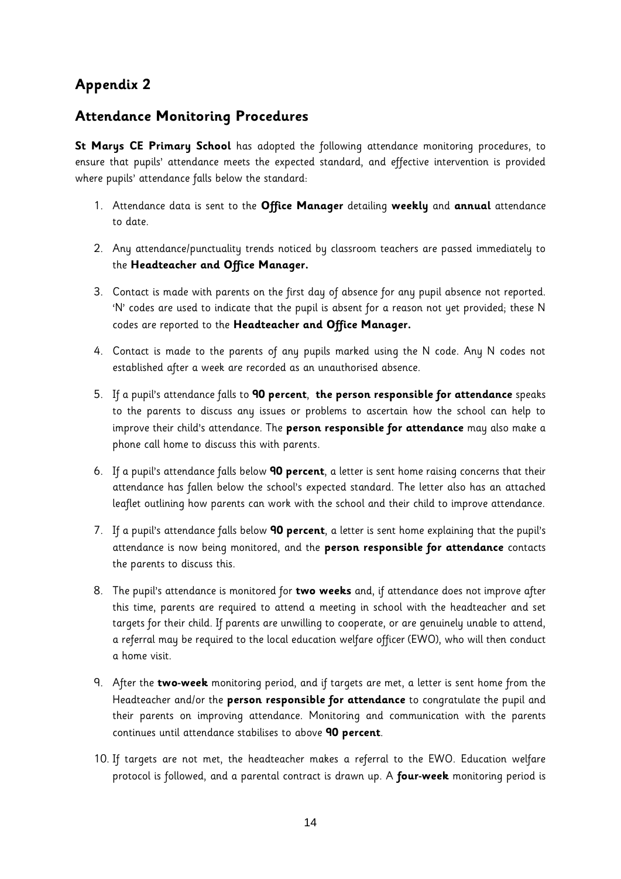## <span id="page-14-0"></span>**Appendix 2**

#### **Attendance Monitoring Procedures**

**St Marys CE Primary School** has adopted the following attendance monitoring procedures, to ensure that pupils' attendance meets the expected standard, and effective intervention is provided where pupils' attendance falls below the standard:

- 1. Attendance data is sent to the **Office Manager** detailing **weekly** and **annual** attendance to date.
- 2. Any attendance/punctuality trends noticed by classroom teachers are passed immediately to the **Headteacher and Office Manager.**
- 3. Contact is made with parents on the first day of absence for any pupil absence not reported. 'N' codes are used to indicate that the pupil is absent for a reason not yet provided; these N codes are reported to the **Headteacher and Office Manager.**
- 4. Contact is made to the parents of any pupils marked using the N code. Any N codes not established after a week are recorded as an unauthorised absence.
- 5. If a pupil's attendance falls to **90 percent**, **the person responsible for attendance** speaks to the parents to discuss any issues or problems to ascertain how the school can help to improve their child's attendance. The **person responsible for attendance** may also make a phone call home to discuss this with parents.
- 6. If a pupil's attendance falls below **90 percent**, a letter is sent home raising concerns that their attendance has fallen below the school's expected standard. The letter also has an attached leaflet outlining how parents can work with the school and their child to improve attendance.
- 7. If a pupil's attendance falls below **90 percent**, a letter is sent home explaining that the pupil's attendance is now being monitored, and the **person responsible for attendance** contacts the parents to discuss this.
- 8. The pupil's attendance is monitored for **two weeks** and, if attendance does not improve after this time, parents are required to attend a meeting in school with the headteacher and set targets for their child. If parents are unwilling to cooperate, or are genuinely unable to attend, a referral may be required to the local education welfare officer (EWO), who will then conduct a home visit.
- 9. After the **two-week** monitoring period, and if targets are met, a letter is sent home from the Headteacher and/or the **person responsible for attendance** to congratulate the pupil and their parents on improving attendance. Monitoring and communication with the parents continues until attendance stabilises to above **90 percent**.
- 10. If targets are not met, the headteacher makes a referral to the EWO. Education welfare protocol is followed, and a parental contract is drawn up. A **four-week** monitoring period is